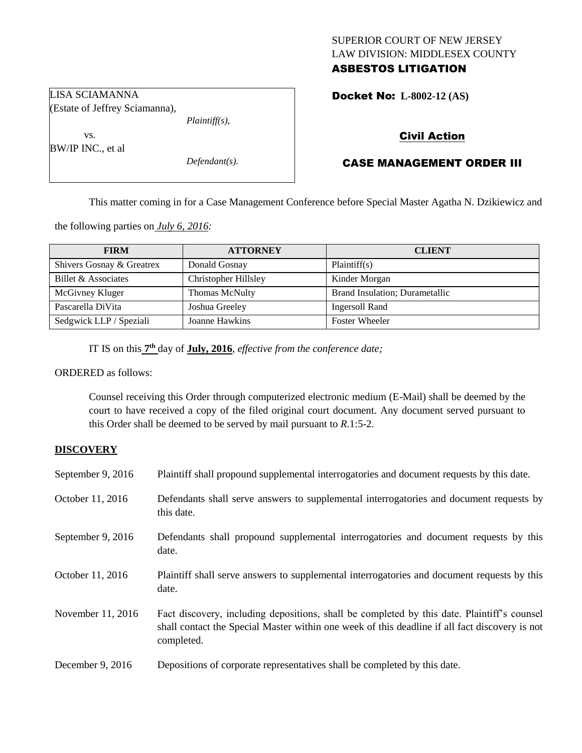# SUPERIOR COURT OF NEW JERSEY LAW DIVISION: MIDDLESEX COUNTY

## ASBESTOS LITIGATION

Docket No: **L-8002-12 (AS)** 

*Plaintiff(s),*

Civil Action

## CASE MANAGEMENT ORDER III

This matter coming in for a Case Management Conference before Special Master Agatha N. Dzikiewicz and

the following parties on *July 6, 2016:*

| <b>FIRM</b>               | <b>ATTORNEY</b>      | <b>CLIENT</b>                  |
|---------------------------|----------------------|--------------------------------|
| Shivers Gosnay & Greatrex | Donald Gosnay        | Plaintiff(s)                   |
| Billet & Associates       | Christopher Hillsley | Kinder Morgan                  |
| McGivney Kluger           | Thomas McNulty       | Brand Insulation; Durametallic |
| Pascarella DiVita         | Joshua Greeley       | Ingersoll Rand                 |
| Sedgwick LLP / Speziali   | Joanne Hawkins       | <b>Foster Wheeler</b>          |

IT IS on this **7 th** day of **July, 2016**, *effective from the conference date;*

ORDERED as follows:

Counsel receiving this Order through computerized electronic medium (E-Mail) shall be deemed by the court to have received a copy of the filed original court document. Any document served pursuant to this Order shall be deemed to be served by mail pursuant to *R*.1:5-2.

### **DISCOVERY**

| September 9, 2016 | Plaintiff shall propound supplemental interrogatories and document requests by this date.                                                                                                                   |
|-------------------|-------------------------------------------------------------------------------------------------------------------------------------------------------------------------------------------------------------|
| October 11, 2016  | Defendants shall serve answers to supplemental interrogatories and document requests by<br>this date.                                                                                                       |
| September 9, 2016 | Defendants shall propound supplemental interrogatories and document requests by this<br>date.                                                                                                               |
| October 11, 2016  | Plaintiff shall serve answers to supplemental interrogatories and document requests by this<br>date.                                                                                                        |
| November 11, 2016 | Fact discovery, including depositions, shall be completed by this date. Plaintiff's counsel<br>shall contact the Special Master within one week of this deadline if all fact discovery is not<br>completed. |
| December 9, 2016  | Depositions of corporate representatives shall be completed by this date.                                                                                                                                   |

LISA SCIAMANNA (Estate of Jeffrey Sciamanna),

vs. BW/IP INC., et al

*Defendant(s).*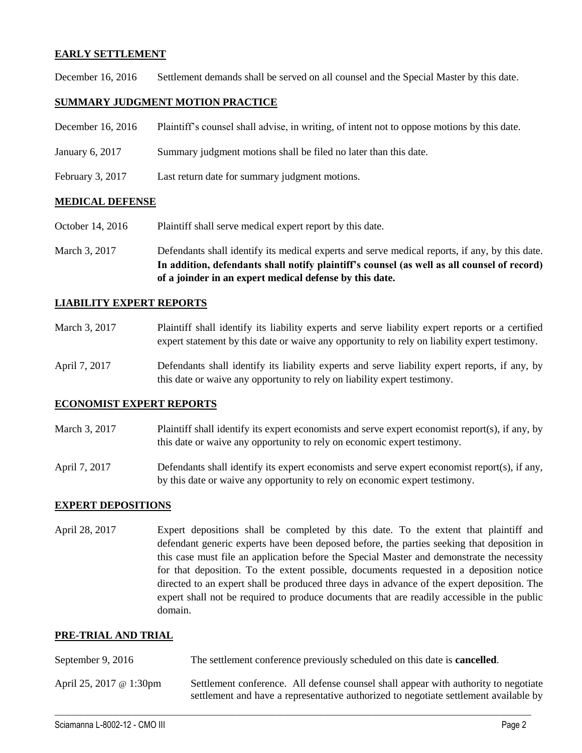### **EARLY SETTLEMENT**

December 16, 2016 Settlement demands shall be served on all counsel and the Special Master by this date.

### **SUMMARY JUDGMENT MOTION PRACTICE**

| December 16, 2016 | Plaintiff's counsel shall advise, in writing, of intent not to oppose motions by this date. |  |  |
|-------------------|---------------------------------------------------------------------------------------------|--|--|
|                   |                                                                                             |  |  |

- January 6, 2017 Summary judgment motions shall be filed no later than this date.
- February 3, 2017 Last return date for summary judgment motions.

#### **MEDICAL DEFENSE**

- October 14, 2016 Plaintiff shall serve medical expert report by this date.
- March 3, 2017 Defendants shall identify its medical experts and serve medical reports, if any, by this date. **In addition, defendants shall notify plaintiff's counsel (as well as all counsel of record) of a joinder in an expert medical defense by this date.**

#### **LIABILITY EXPERT REPORTS**

- March 3, 2017 Plaintiff shall identify its liability experts and serve liability expert reports or a certified expert statement by this date or waive any opportunity to rely on liability expert testimony.
- April 7, 2017 Defendants shall identify its liability experts and serve liability expert reports, if any, by this date or waive any opportunity to rely on liability expert testimony.

#### **ECONOMIST EXPERT REPORTS**

- March 3, 2017 Plaintiff shall identify its expert economists and serve expert economist report(s), if any, by this date or waive any opportunity to rely on economic expert testimony.
- April 7, 2017 Defendants shall identify its expert economists and serve expert economist report(s), if any, by this date or waive any opportunity to rely on economic expert testimony.

#### **EXPERT DEPOSITIONS**

April 28, 2017 Expert depositions shall be completed by this date. To the extent that plaintiff and defendant generic experts have been deposed before, the parties seeking that deposition in this case must file an application before the Special Master and demonstrate the necessity for that deposition. To the extent possible, documents requested in a deposition notice directed to an expert shall be produced three days in advance of the expert deposition. The expert shall not be required to produce documents that are readily accessible in the public domain.

#### **PRE-TRIAL AND TRIAL**

| September 9, 2016       | The settlement conference previously scheduled on this date is <b>cancelled</b> .                                                                                           |
|-------------------------|-----------------------------------------------------------------------------------------------------------------------------------------------------------------------------|
| April 25, 2017 @ 1:30pm | Settlement conference. All defense counsel shall appear with authority to negotiate<br>settlement and have a representative authorized to negotiate settlement available by |